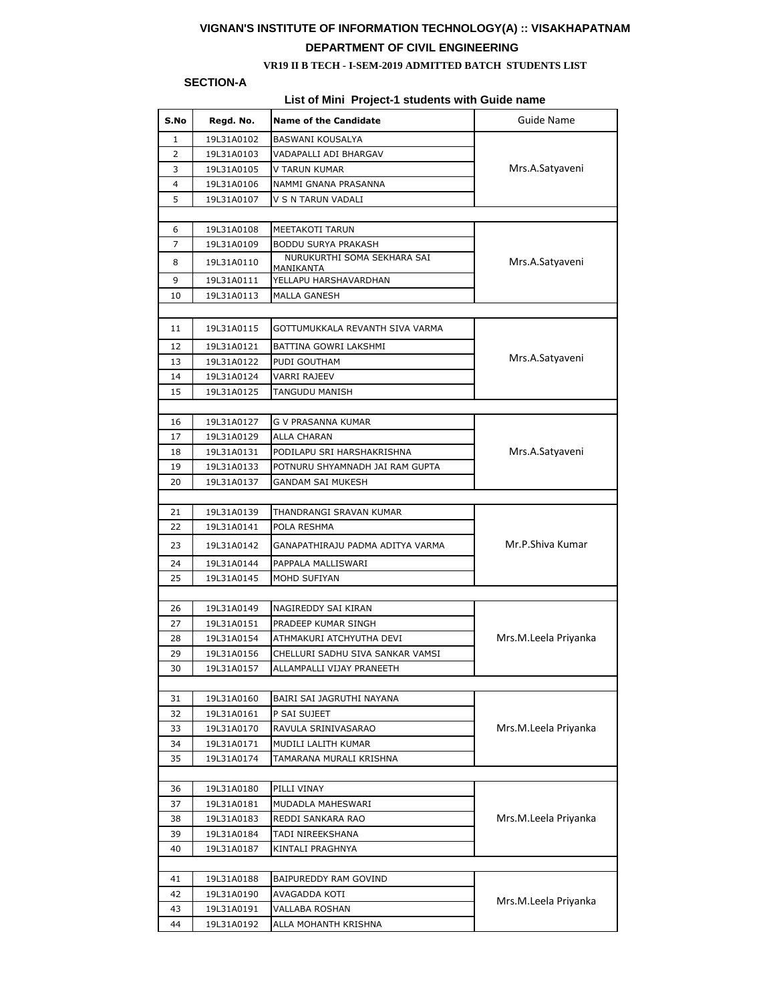# **VIGNAN'S INSTITUTE OF INFORMATION TECHNOLOGY(A) :: VISAKHAPATNAM DEPARTMENT OF CIVIL ENGINEERING**

#### **VR19 II B TECH - I-SEM-2019 ADMITTED BATCH STUDENTS LIST**

## **SECTION-A**

## **List of Mini Project-1 students with Guide name**

| S.No     | Regd. No.  | <b>Name of the Candidate</b>                    | <b>Guide Name</b>    |  |  |  |  |
|----------|------------|-------------------------------------------------|----------------------|--|--|--|--|
| 1        | 19L31A0102 | BASWANI KOUSALYA                                |                      |  |  |  |  |
| 2        | 19L31A0103 | VADAPALLI ADI BHARGAV                           |                      |  |  |  |  |
| 3        | 19L31A0105 | V TARUN KUMAR                                   | Mrs.A.Satyaveni      |  |  |  |  |
| 4        | 19L31A0106 | NAMMI GNANA PRASANNA                            |                      |  |  |  |  |
| 5        | 19L31A0107 | V S N TARUN VADALI                              |                      |  |  |  |  |
|          |            |                                                 |                      |  |  |  |  |
| 6        | 19L31A0108 | MEETAKOTI TARUN                                 |                      |  |  |  |  |
| 7        | 19L31A0109 | BODDU SURYA PRAKASH                             |                      |  |  |  |  |
| 8        | 19L31A0110 | NURUKURTHI SOMA SEKHARA SAI<br><u>MANIKANTA</u> | Mrs.A. Satyaveni     |  |  |  |  |
| 9        | 19L31A0111 | YELLAPU HARSHAVARDHAN                           |                      |  |  |  |  |
| 10       | 19L31A0113 | <b>MALLA GANESH</b>                             |                      |  |  |  |  |
|          |            |                                                 |                      |  |  |  |  |
| 11       | 19L31A0115 | GOTTUMUKKALA REVANTH SIVA VARMA                 |                      |  |  |  |  |
| 12       | 19L31A0121 | BATTINA GOWRI LAKSHMI                           |                      |  |  |  |  |
| 13       | 19L31A0122 | PUDI GOUTHAM                                    | Mrs.A.Satyaveni      |  |  |  |  |
| 14       | 19L31A0124 | VARRI RAJEEV                                    |                      |  |  |  |  |
| 15       | 19L31A0125 | TANGUDU MANISH                                  |                      |  |  |  |  |
|          |            |                                                 |                      |  |  |  |  |
| 16       | 19L31A0127 | G V PRASANNA KUMAR                              |                      |  |  |  |  |
| 17       | 19L31A0129 | ALLA CHARAN                                     |                      |  |  |  |  |
| 18       | 19L31A0131 | PODILAPU SRI HARSHAKRISHNA                      | Mrs.A.Satyaveni      |  |  |  |  |
| 19       | 19L31A0133 | POTNURU SHYAMNADH JAI RAM GUPTA                 |                      |  |  |  |  |
| 20       | 19L31A0137 | GANDAM SAI MUKESH                               |                      |  |  |  |  |
|          |            |                                                 |                      |  |  |  |  |
| 21       | 19L31A0139 | THANDRANGI SRAVAN KUMAR                         |                      |  |  |  |  |
| 22       | 19L31A0141 | POLA RESHMA                                     |                      |  |  |  |  |
| 23       | 19L31A0142 | GANAPATHIRAJU PADMA ADITYA VARMA                | Mr.P.Shiva Kumar     |  |  |  |  |
| 24       | 19L31A0144 | PAPPALA MALLISWARI                              |                      |  |  |  |  |
| 25       | 19L31A0145 | MOHD SUFIYAN                                    |                      |  |  |  |  |
|          |            |                                                 |                      |  |  |  |  |
| 26       | 19L31A0149 | NAGIREDDY SAI KIRAN                             |                      |  |  |  |  |
| 27       | 19L31A0151 | PRADEEP KUMAR SINGH                             |                      |  |  |  |  |
| 28       | 19L31A0154 | ATHMAKURI ATCHYUTHA DEVI                        | Mrs.M.Leela Priyanka |  |  |  |  |
| 29       | 19L31A0156 | CHELLURI SADHU SIVA SANKAR VAMSI                |                      |  |  |  |  |
| 30       | 19L31A0157 | ALLAMPALLI VIJAY PRANEETH                       |                      |  |  |  |  |
|          |            |                                                 |                      |  |  |  |  |
| 31       | 19L31A0160 | BAIRI SAI JAGRUTHI NAYANA                       | Mrs.M.Leela Priyanka |  |  |  |  |
| 32       | 19L31A0161 | P SAI SUJEET                                    |                      |  |  |  |  |
| 33       | 19L31A0170 | RAVULA SRINIVASARAO                             |                      |  |  |  |  |
| 34<br>35 | 19L31A0171 | MUDILI LALITH KUMAR                             |                      |  |  |  |  |
|          | 19L31A0174 | TAMARANA MURALI KRISHNA                         |                      |  |  |  |  |
| 36       | 19L31A0180 | PILLI VINAY                                     |                      |  |  |  |  |
| 37       | 19L31A0181 | MUDADLA MAHESWARI                               |                      |  |  |  |  |
| 38       | 19L31A0183 | REDDI SANKARA RAO                               | Mrs.M.Leela Priyanka |  |  |  |  |
| 39       | 19L31A0184 | TADI NIREEKSHANA                                |                      |  |  |  |  |
| 40       | 19L31A0187 | KINTALI PRAGHNYA                                |                      |  |  |  |  |
|          |            |                                                 |                      |  |  |  |  |
| 41       | 19L31A0188 | BAIPUREDDY RAM GOVIND                           |                      |  |  |  |  |
| 42       | 19L31A0190 | AVAGADDA KOTI                                   |                      |  |  |  |  |
| 43       | 19L31A0191 | VALLABA ROSHAN                                  | Mrs.M.Leela Priyanka |  |  |  |  |
| 44       | 19L31A0192 | ALLA MOHANTH KRISHNA                            |                      |  |  |  |  |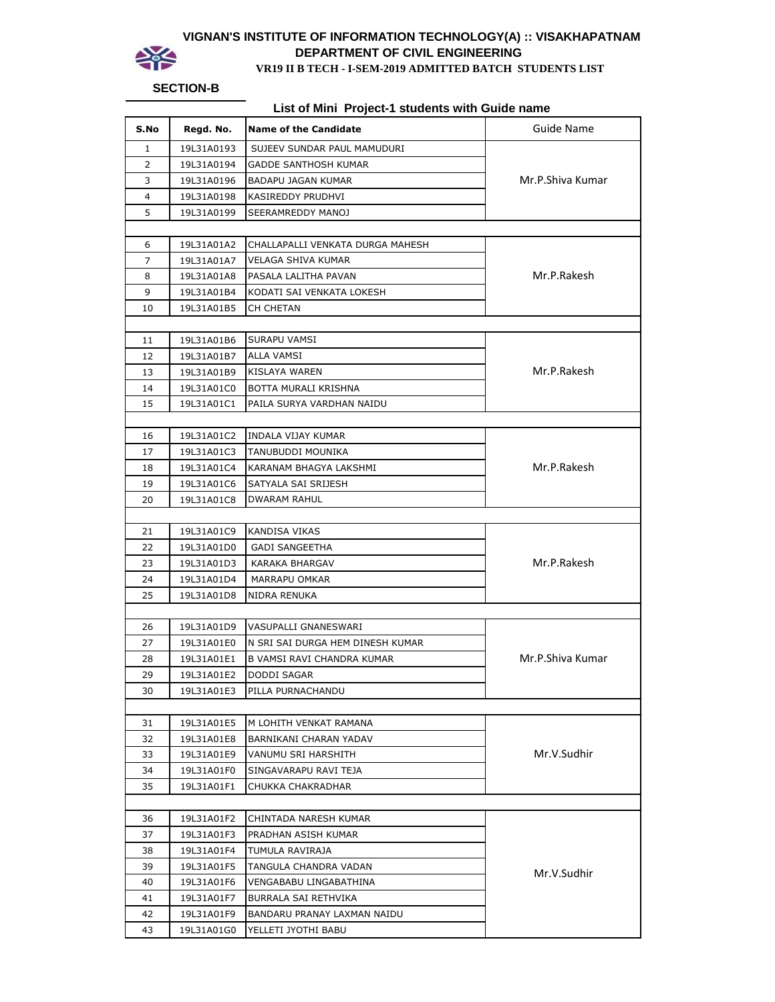

## **VIGNAN'S INSTITUTE OF INFORMATION TECHNOLOGY(A) :: VISAKHAPATNAM DEPARTMENT OF CIVIL ENGINEERING DEPARTMENT OF CIVIL ENGINEERING<br>
VR19 II B TECH - I-SEM-2019 ADMITTED BATCH STUDENTS LIST**

### **SECTION-B**

**List of Mini Project-1 students with Guide name**

| S.No | Regd. No.  | <b>Name of the Candidate</b>     | <b>Guide Name</b> |  |
|------|------------|----------------------------------|-------------------|--|
| 1    | 19L31A0193 | SUJEEV SUNDAR PAUL MAMUDURI      |                   |  |
| 2    | 19L31A0194 | GADDE SANTHOSH KUMAR             |                   |  |
| 3    | 19L31A0196 | <b>BADAPU JAGAN KUMAR</b>        | Mr.P.Shiva Kumar  |  |
| 4    | 19L31A0198 | KASIREDDY PRUDHVI                |                   |  |
| 5    | 19L31A0199 | SEERAMREDDY MANOJ                |                   |  |
|      |            |                                  |                   |  |
| 6    | 19L31A01A2 | CHALLAPALLI VENKATA DURGA MAHESH |                   |  |
| 7    | 19L31A01A7 | VELAGA SHIVA KUMAR               |                   |  |
| 8    | 19L31A01A8 | PASALA LALITHA PAVAN             | Mr.P.Rakesh       |  |
| 9    | 19L31A01B4 | KODATI SAI VENKATA LOKESH        |                   |  |
| 10   | 19L31A01B5 | CH CHETAN                        |                   |  |
|      |            |                                  |                   |  |
| 11   | 19L31A01B6 | SURAPU VAMSI                     |                   |  |
| 12   | 19L31A01B7 | <b>ALLA VAMSI</b>                |                   |  |
| 13   | 19L31A01B9 | <b>KISLAYA WAREN</b>             | Mr.P.Rakesh       |  |
| 14   | 19L31A01C0 | BOTTA MURALI KRISHNA             |                   |  |
| 15   | 19L31A01C1 | PAILA SURYA VARDHAN NAIDU        |                   |  |
|      |            |                                  |                   |  |
| 16   | 19L31A01C2 | <b>INDALA VIJAY KUMAR</b>        |                   |  |
| 17   | 19L31A01C3 | TANUBUDDI MOUNIKA                |                   |  |
| 18   | 19L31A01C4 | KARANAM BHAGYA LAKSHMI           | Mr.P.Rakesh       |  |
| 19   | 19L31A01C6 | SATYALA SAI SRIJESH              |                   |  |
| 20   | 19L31A01C8 | <b>DWARAM RAHUL</b>              |                   |  |
|      |            |                                  |                   |  |
| 21   | 19L31A01C9 | KANDISA VIKAS                    |                   |  |
| 22   | 19L31A01D0 | <b>GADI SANGEETHA</b>            |                   |  |
| 23   | 19L31A01D3 | KARAKA BHARGAV                   | Mr.P.Rakesh       |  |
| 24   | 19L31A01D4 | MARRAPU OMKAR                    |                   |  |
| 25   | 19L31A01D8 | NIDRA RENUKA                     |                   |  |
|      |            |                                  |                   |  |
| 26   | 19L31A01D9 | VASUPALLI GNANESWARI             |                   |  |
| 27   | 19L31A01E0 | N SRI SAI DURGA HEM DINESH KUMAR |                   |  |
| 28   | 19L31A01E1 | B VAMSI RAVI CHANDRA KUMAR       | Mr.P.Shiva Kumar  |  |
| 29   | 19L31A01E2 | DODDI SAGAR                      |                   |  |
| 30   | 19L31A01E3 | PILLA PURNACHANDU                |                   |  |
|      |            |                                  |                   |  |
| 31   | 19L31A01E5 | M LOHITH VENKAT RAMANA           |                   |  |
| 32   | 19L31A01E8 | BARNIKANI CHARAN YADAV           |                   |  |
| 33   | 19L31A01E9 | VANUMU SRI HARSHITH              | Mr.V.Sudhir       |  |
| 34   | 19L31A01F0 | SINGAVARAPU RAVI TEJA            |                   |  |
| 35   | 19L31A01F1 | CHUKKA CHAKRADHAR                |                   |  |
|      |            |                                  |                   |  |
| 36   | 19L31A01F2 | CHINTADA NARESH KUMAR            |                   |  |
| 37   | 19L31A01F3 | PRADHAN ASISH KUMAR              |                   |  |
| 38   | 19L31A01F4 | TUMULA RAVIRAJA                  |                   |  |
| 39   | 19L31A01F5 | TANGULA CHANDRA VADAN            | Mr.V.Sudhir       |  |
| 40   | 19L31A01F6 | VENGABABU LINGABATHINA           |                   |  |
| 41   | 19L31A01F7 | BURRALA SAI RETHVIKA             |                   |  |
| 42   | 19L31A01F9 | BANDARU PRANAY LAXMAN NAIDU      |                   |  |
| 43   | 19L31A01G0 | YELLETI JYOTHI BABU              |                   |  |